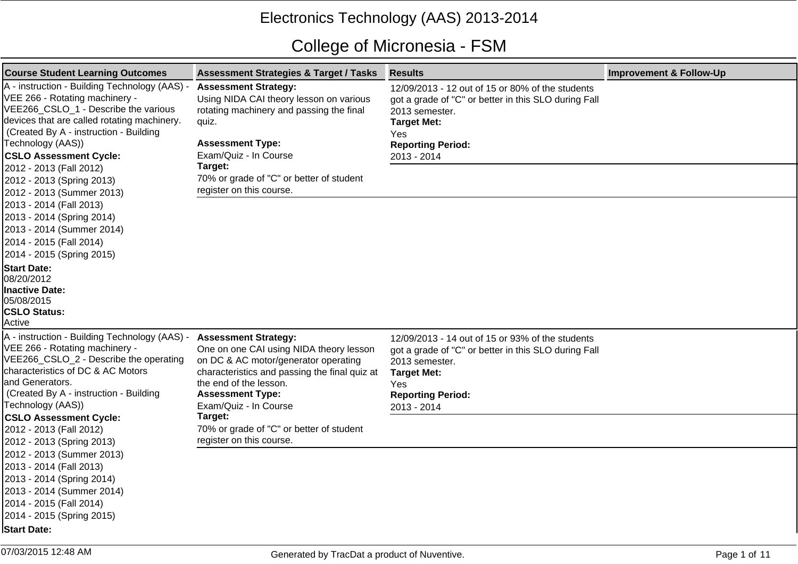## Electronics Technology (AAS) 2013-2014

## College of Micronesia - FSM

| <b>Course Student Learning Outcomes</b>                                                                                                                                                                                                                                | <b>Assessment Strategies &amp; Target / Tasks</b>                                                                                                                                                                                             | <b>Results</b>                                                                                                                                                                                     | <b>Improvement &amp; Follow-Up</b> |
|------------------------------------------------------------------------------------------------------------------------------------------------------------------------------------------------------------------------------------------------------------------------|-----------------------------------------------------------------------------------------------------------------------------------------------------------------------------------------------------------------------------------------------|----------------------------------------------------------------------------------------------------------------------------------------------------------------------------------------------------|------------------------------------|
| A - instruction - Building Technology (AAS) -<br>VEE 266 - Rotating machinery -<br>VEE266_CSLO_1 - Describe the various<br>devices that are called rotating machinery.<br>(Created By A - instruction - Building<br>Technology (AAS))<br><b>CSLO Assessment Cycle:</b> | <b>Assessment Strategy:</b><br>Using NIDA CAI theory lesson on various<br>rotating machinery and passing the final<br>quiz.<br><b>Assessment Type:</b><br>Exam/Quiz - In Course                                                               | 12/09/2013 - 12 out of 15 or 80% of the students<br>got a grade of "C" or better in this SLO during Fall<br>2013 semester.<br><b>Target Met:</b><br>Yes<br><b>Reporting Period:</b><br>2013 - 2014 |                                    |
| 2012 - 2013 (Fall 2012)<br>2012 - 2013 (Spring 2013)<br>2012 - 2013 (Summer 2013)                                                                                                                                                                                      | Target:<br>70% or grade of "C" or better of student<br>register on this course.                                                                                                                                                               |                                                                                                                                                                                                    |                                    |
| 2013 - 2014 (Fall 2013)<br>2013 - 2014 (Spring 2014)<br>2013 - 2014 (Summer 2014)<br>2014 - 2015 (Fall 2014)<br>2014 - 2015 (Spring 2015)                                                                                                                              |                                                                                                                                                                                                                                               |                                                                                                                                                                                                    |                                    |
| <b>Start Date:</b><br>08/20/2012<br><b>Inactive Date:</b><br>05/08/2015<br><b>CSLO Status:</b><br>Active                                                                                                                                                               |                                                                                                                                                                                                                                               |                                                                                                                                                                                                    |                                    |
| A - instruction - Building Technology (AAS) -<br>VEE 266 - Rotating machinery -<br>VEE266_CSLO_2 - Describe the operating<br>characteristics of DC & AC Motors<br>land Generators.<br>Created By A - instruction - Building<br>Technology (AAS))                       | <b>Assessment Strategy:</b><br>One on one CAI using NIDA theory lesson<br>on DC & AC motor/generator operating<br>characteristics and passing the final quiz at<br>the end of the lesson.<br><b>Assessment Type:</b><br>Exam/Quiz - In Course | 12/09/2013 - 14 out of 15 or 93% of the students<br>got a grade of "C" or better in this SLO during Fall<br>2013 semester.<br><b>Target Met:</b><br>Yes<br><b>Reporting Period:</b><br>2013 - 2014 |                                    |
| <b>CSLO Assessment Cycle:</b><br>2012 - 2013 (Fall 2012)<br>2012 - 2013 (Spring 2013)                                                                                                                                                                                  | Target:<br>70% or grade of "C" or better of student<br>register on this course.                                                                                                                                                               |                                                                                                                                                                                                    |                                    |
| 2012 - 2013 (Summer 2013)<br>2013 - 2014 (Fall 2013)<br>2013 - 2014 (Spring 2014)<br>2013 - 2014 (Summer 2014)<br>2014 - 2015 (Fall 2014)<br>2014 - 2015 (Spring 2015)<br><b>Start Date:</b>                                                                           |                                                                                                                                                                                                                                               |                                                                                                                                                                                                    |                                    |
|                                                                                                                                                                                                                                                                        |                                                                                                                                                                                                                                               |                                                                                                                                                                                                    |                                    |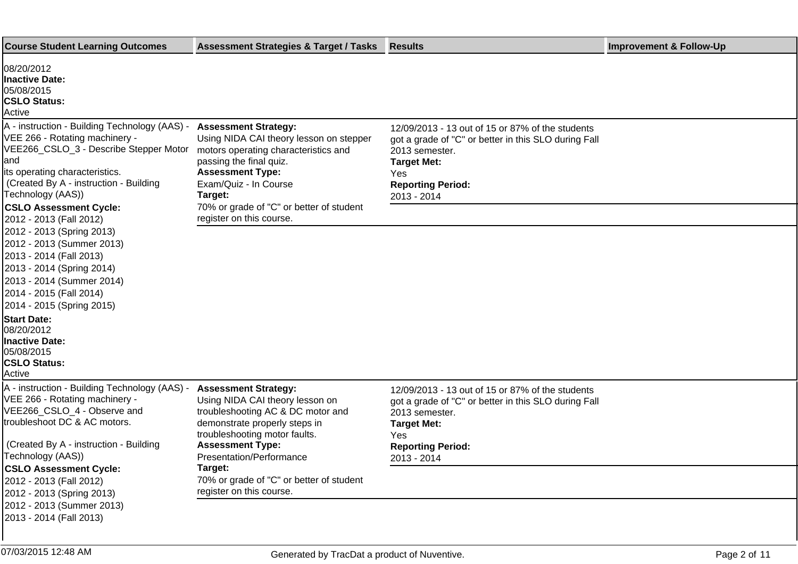| <b>Course Student Learning Outcomes</b>                                                                                                                                                                                                                                                        | <b>Assessment Strategies &amp; Target / Tasks</b>                                                                                                                                                                                   | Results                                                                                                                                                                                             | <b>Improvement &amp; Follow-Up</b> |
|------------------------------------------------------------------------------------------------------------------------------------------------------------------------------------------------------------------------------------------------------------------------------------------------|-------------------------------------------------------------------------------------------------------------------------------------------------------------------------------------------------------------------------------------|-----------------------------------------------------------------------------------------------------------------------------------------------------------------------------------------------------|------------------------------------|
| 08/20/2012<br>Inactive Date:<br>05/08/2015<br><b>CSLO Status:</b><br>Active                                                                                                                                                                                                                    |                                                                                                                                                                                                                                     |                                                                                                                                                                                                     |                                    |
| A - instruction - Building Technology (AAS) -<br>VEE 266 - Rotating machinery -<br>VEE266_CSLO_3 - Describe Stepper Motor<br>and<br>its operating characteristics.<br>(Created By A - instruction - Building<br>Technology (AAS))                                                              | <b>Assessment Strategy:</b><br>Using NIDA CAI theory lesson on stepper<br>motors operating characteristics and<br>passing the final quiz.<br><b>Assessment Type:</b><br>Exam/Quiz - In Course<br>Target:                            | 12/09/2013 - 13 out of 15 or 87% of the students<br>got a grade of "C" or better in this SLO during Fall<br>2013 semester.<br><b>Target Met:</b><br>Yes<br><b>Reporting Period:</b><br>2013 - 2014  |                                    |
| <b>CSLO Assessment Cycle:</b><br>2012 - 2013 (Fall 2012)                                                                                                                                                                                                                                       | 70% or grade of "C" or better of student<br>register on this course.                                                                                                                                                                |                                                                                                                                                                                                     |                                    |
| 2012 - 2013 (Spring 2013)<br>2012 - 2013 (Summer 2013)<br>2013 - 2014 (Fall 2013)<br>2013 - 2014 (Spring 2014)<br>2013 - 2014 (Summer 2014)<br>2014 - 2015 (Fall 2014)<br>2014 - 2015 (Spring 2015)<br><b>Start Date:</b><br>08/20/2012<br>Inactive Date:<br>05/08/2015<br><b>CSLO Status:</b> |                                                                                                                                                                                                                                     |                                                                                                                                                                                                     |                                    |
| Active                                                                                                                                                                                                                                                                                         |                                                                                                                                                                                                                                     |                                                                                                                                                                                                     |                                    |
| A - instruction - Building Technology (AAS) -<br>VEE 266 - Rotating machinery -<br>VEE266 CSLO 4 - Observe and<br>troubleshoot DC & AC motors.<br>(Created By A - instruction - Building<br>Technology (AAS))                                                                                  | <b>Assessment Strategy:</b><br>Using NIDA CAI theory lesson on<br>troubleshooting AC & DC motor and<br>demonstrate properly steps in<br>troubleshooting motor faults.<br><b>Assessment Type:</b><br><b>Presentation/Performance</b> | 12/09/2013 - 13 out of 15 or 87% of the students<br>got a grade of "C" or better in this SLO during Fall<br>2013 semester.<br><b>Target Met:</b><br>Yes.<br><b>Reporting Period:</b><br>2013 - 2014 |                                    |
| <b>CSLO Assessment Cycle:</b><br>2012 - 2013 (Fall 2012)<br>2012 - 2013 (Spring 2013)<br>2012 - 2013 (Summer 2013)<br>2013 - 2014 (Fall 2013)                                                                                                                                                  | Target:<br>70% or grade of "C" or better of student<br>register on this course.                                                                                                                                                     |                                                                                                                                                                                                     |                                    |
|                                                                                                                                                                                                                                                                                                |                                                                                                                                                                                                                                     |                                                                                                                                                                                                     |                                    |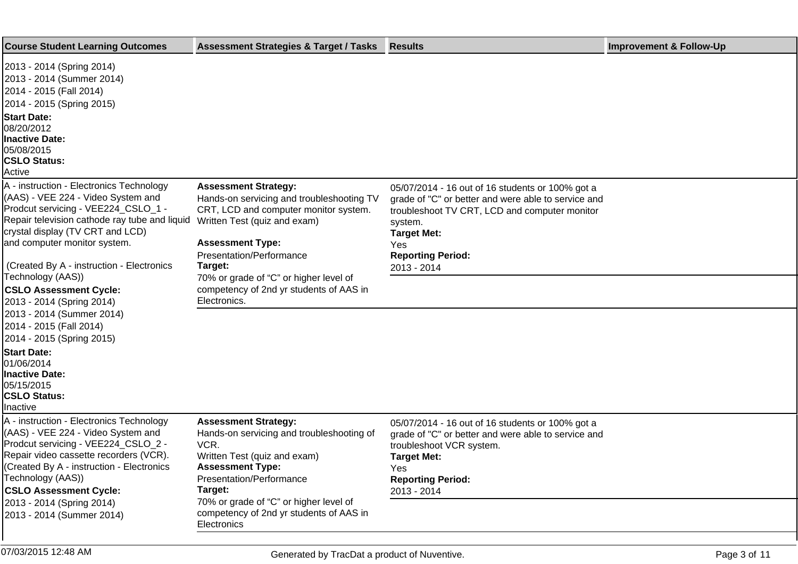| <b>Course Student Learning Outcomes</b>                                                                                                                                                                                                                                                                                                                                                                                            | <b>Assessment Strategies &amp; Target / Tasks</b>                                                                                                                                                                                                                                                                        | <b>Results</b>                                                                                                                                                                                                                              | <b>Improvement &amp; Follow-Up</b> |
|------------------------------------------------------------------------------------------------------------------------------------------------------------------------------------------------------------------------------------------------------------------------------------------------------------------------------------------------------------------------------------------------------------------------------------|--------------------------------------------------------------------------------------------------------------------------------------------------------------------------------------------------------------------------------------------------------------------------------------------------------------------------|---------------------------------------------------------------------------------------------------------------------------------------------------------------------------------------------------------------------------------------------|------------------------------------|
| 2013 - 2014 (Spring 2014)<br>2013 - 2014 (Summer 2014)<br>2014 - 2015 (Fall 2014)<br>2014 - 2015 (Spring 2015)<br><b>Start Date:</b><br>08/20/2012<br><b>Inactive Date:</b><br>05/08/2015<br><b>CSLO Status:</b><br>Active                                                                                                                                                                                                         |                                                                                                                                                                                                                                                                                                                          |                                                                                                                                                                                                                                             |                                    |
| A - instruction - Electronics Technology<br>(AAS) - VEE 224 - Video System and<br>Prodcut servicing - VEE224_CSLO_1 -<br>Repair television cathode ray tube and liquid<br>crystal display (TV CRT and LCD)<br>and computer monitor system.<br>(Created By A - instruction - Electronics<br>Technology (AAS))<br><b>CSLO Assessment Cycle:</b><br>2013 - 2014 (Spring 2014)<br>2013 - 2014 (Summer 2014)<br>2014 - 2015 (Fall 2014) | <b>Assessment Strategy:</b><br>Hands-on servicing and troubleshooting TV<br>CRT, LCD and computer monitor system.<br>Written Test (quiz and exam)<br><b>Assessment Type:</b><br>Presentation/Performance<br>Target:<br>70% or grade of "C" or higher level of<br>competency of 2nd yr students of AAS in<br>Electronics. | 05/07/2014 - 16 out of 16 students or 100% got a<br>grade of "C" or better and were able to service and<br>troubleshoot TV CRT, LCD and computer monitor<br>system.<br><b>Target Met:</b><br>Yes<br><b>Reporting Period:</b><br>2013 - 2014 |                                    |
| 2014 - 2015 (Spring 2015)<br><b>Start Date:</b><br>01/06/2014<br><b>Inactive Date:</b><br>05/15/2015<br><b>CSLO Status:</b><br>Inactive                                                                                                                                                                                                                                                                                            |                                                                                                                                                                                                                                                                                                                          |                                                                                                                                                                                                                                             |                                    |
| A - instruction - Electronics Technology<br>(AAS) - VEE 224 - Video System and<br>Prodcut servicing - VEE224_CSLO_2 -<br>Repair video cassette recorders (VCR).<br>(Created By A - instruction - Electronics<br>Technology (AAS))<br><b>CSLO Assessment Cycle:</b><br>2013 - 2014 (Spring 2014)<br>2013 - 2014 (Summer 2014)                                                                                                       | <b>Assessment Strategy:</b><br>Hands-on servicing and troubleshooting of<br>VCR.<br>Written Test (quiz and exam)<br><b>Assessment Type:</b><br>Presentation/Performance<br>Target:<br>70% or grade of "C" or higher level of<br>competency of 2nd yr students of AAS in                                                  | 05/07/2014 - 16 out of 16 students or 100% got a<br>grade of "C" or better and were able to service and<br>troubleshoot VCR system.<br><b>Target Met:</b><br>Yes<br><b>Reporting Period:</b><br>2013 - 2014                                 |                                    |
|                                                                                                                                                                                                                                                                                                                                                                                                                                    | Electronics                                                                                                                                                                                                                                                                                                              |                                                                                                                                                                                                                                             |                                    |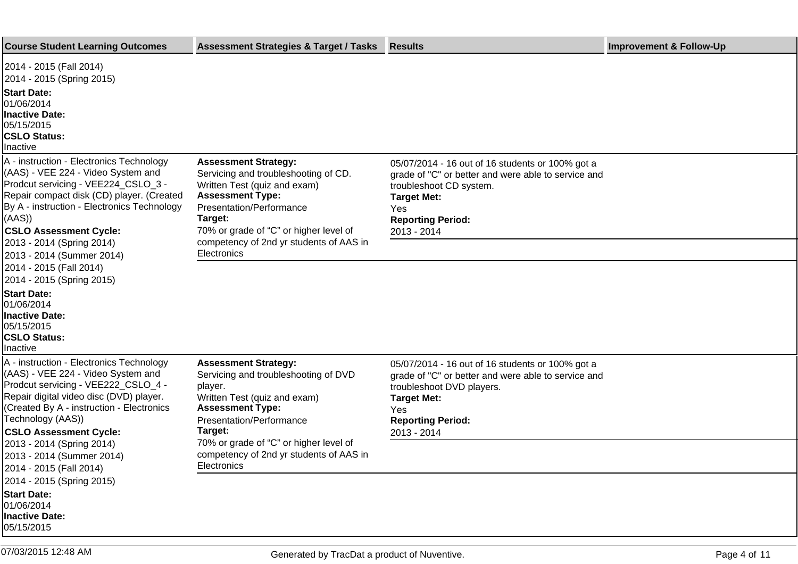| <b>Course Student Learning Outcomes</b>                                                                                                                                                                                                                                                   | <b>Assessment Strategies &amp; Target / Tasks</b>                                                                                                                                                                                                                         | <b>Results</b>                                                                                                                                                                                               | <b>Improvement &amp; Follow-Up</b> |
|-------------------------------------------------------------------------------------------------------------------------------------------------------------------------------------------------------------------------------------------------------------------------------------------|---------------------------------------------------------------------------------------------------------------------------------------------------------------------------------------------------------------------------------------------------------------------------|--------------------------------------------------------------------------------------------------------------------------------------------------------------------------------------------------------------|------------------------------------|
| 2014 - 2015 (Fall 2014)<br>2014 - 2015 (Spring 2015)<br><b>Start Date:</b><br>01/06/2014<br><b>Inactive Date:</b><br>05/15/2015<br><b>CSLO Status:</b><br>Inactive                                                                                                                        |                                                                                                                                                                                                                                                                           |                                                                                                                                                                                                              |                                    |
| A - instruction - Electronics Technology<br>(AAS) - VEE 224 - Video System and<br>Prodcut servicing - VEE224_CSLO_3 -<br>Repair compact disk (CD) player. (Created<br>By A - instruction - Electronics Technology<br>(AAS))<br><b>CSLO Assessment Cycle:</b><br>2013 - 2014 (Spring 2014) | <b>Assessment Strategy:</b><br>Servicing and troubleshooting of CD.<br>Written Test (quiz and exam)<br><b>Assessment Type:</b><br>Presentation/Performance<br>Target:<br>70% or grade of "C" or higher level of<br>competency of 2nd yr students of AAS in<br>Electronics | 05/07/2014 - 16 out of 16 students or 100% got a<br>grade of "C" or better and were able to service and<br>troubleshoot CD system.<br><b>Target Met:</b><br>Yes<br><b>Reporting Period:</b><br>2013 - 2014   |                                    |
| 2013 - 2014 (Summer 2014)<br>2014 - 2015 (Fall 2014)<br>2014 - 2015 (Spring 2015)<br><b>Start Date:</b><br>01/06/2014<br><b>Inactive Date:</b><br>05/15/2015<br><b>CSLO Status:</b><br>Inactive                                                                                           |                                                                                                                                                                                                                                                                           |                                                                                                                                                                                                              |                                    |
| A - instruction - Electronics Technology<br>(AAS) - VEE 224 - Video System and<br>Prodcut servicing - VEE222_CSLO_4 -<br>Repair digital video disc (DVD) player.<br>(Created By A - instruction - Electronics<br>Technology (AAS))<br><b>CSLO Assessment Cycle:</b>                       | <b>Assessment Strategy:</b><br>Servicing and troubleshooting of DVD<br>player.<br>Written Test (quiz and exam)<br><b>Assessment Type:</b><br>Presentation/Performance<br>Target:                                                                                          | 05/07/2014 - 16 out of 16 students or 100% got a<br>grade of "C" or better and were able to service and<br>troubleshoot DVD players.<br><b>Target Met:</b><br>Yes<br><b>Reporting Period:</b><br>2013 - 2014 |                                    |
| 2013 - 2014 (Spring 2014)<br>2013 - 2014 (Summer 2014)<br>2014 - 2015 (Fall 2014)<br>2014 - 2015 (Spring 2015)                                                                                                                                                                            | 70% or grade of "C" or higher level of<br>competency of 2nd yr students of AAS in<br>Electronics                                                                                                                                                                          |                                                                                                                                                                                                              |                                    |
| <b>Start Date:</b><br>01/06/2014<br><b>Inactive Date:</b><br>05/15/2015                                                                                                                                                                                                                   |                                                                                                                                                                                                                                                                           |                                                                                                                                                                                                              |                                    |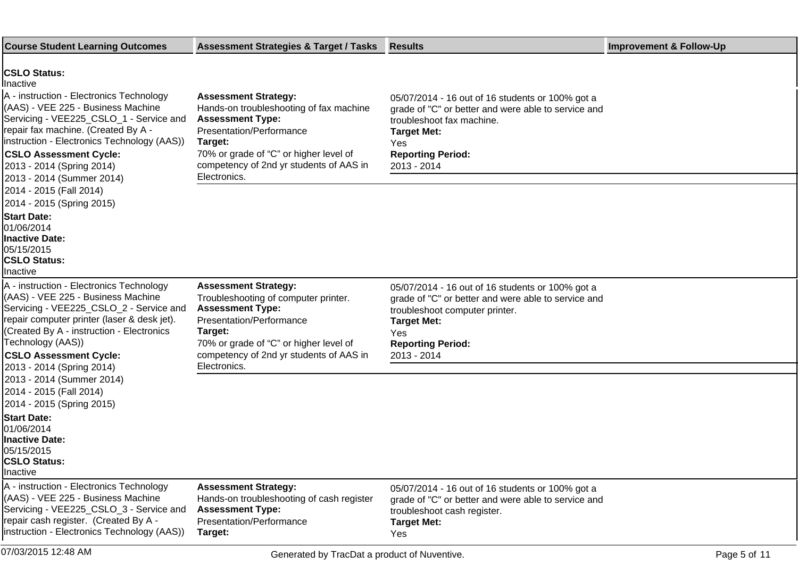| <b>Course Student Learning Outcomes</b>                                                                                                                                                                                                                                                                  | <b>Assessment Strategies &amp; Target / Tasks</b>                                                                                                                                                                                          | <b>Results</b>                                                                                                                                                                                                    | <b>Improvement &amp; Follow-Up</b> |
|----------------------------------------------------------------------------------------------------------------------------------------------------------------------------------------------------------------------------------------------------------------------------------------------------------|--------------------------------------------------------------------------------------------------------------------------------------------------------------------------------------------------------------------------------------------|-------------------------------------------------------------------------------------------------------------------------------------------------------------------------------------------------------------------|------------------------------------|
| <b>CSLO Status:</b><br><b>Ilnactive</b><br>A - instruction - Electronics Technology                                                                                                                                                                                                                      | <b>Assessment Strategy:</b>                                                                                                                                                                                                                | 05/07/2014 - 16 out of 16 students or 100% got a                                                                                                                                                                  |                                    |
| (AAS) - VEE 225 - Business Machine<br>Servicing - VEE225_CSLO_1 - Service and<br>repair fax machine. (Created By A -<br> instruction - Electronics Technology (AAS))<br><b>CSLO Assessment Cycle:</b>                                                                                                    | Hands-on troubleshooting of fax machine<br><b>Assessment Type:</b><br>Presentation/Performance<br>Target:<br>70% or grade of "C" or higher level of                                                                                        | grade of "C" or better and were able to service and<br>troubleshoot fax machine.<br><b>Target Met:</b><br>Yes<br><b>Reporting Period:</b>                                                                         |                                    |
| 2013 - 2014 (Spring 2014)<br>2013 - 2014 (Summer 2014)                                                                                                                                                                                                                                                   | competency of 2nd yr students of AAS in<br>Electronics.                                                                                                                                                                                    | 2013 - 2014                                                                                                                                                                                                       |                                    |
| 2014 - 2015 (Fall 2014)<br>2014 - 2015 (Spring 2015)                                                                                                                                                                                                                                                     |                                                                                                                                                                                                                                            |                                                                                                                                                                                                                   |                                    |
| <b>Start Date:</b><br>01/06/2014<br><b>Inactive Date:</b><br>05/15/2015<br><b>CSLO Status:</b><br>Inactive                                                                                                                                                                                               |                                                                                                                                                                                                                                            |                                                                                                                                                                                                                   |                                    |
| A - instruction - Electronics Technology<br>(AAS) - VEE 225 - Business Machine<br>Servicing - VEE225_CSLO_2 - Service and<br>repair computer printer (laser & desk jet).<br>(Created By A - instruction - Electronics<br>Technology (AAS))<br><b>CSLO Assessment Cycle:</b><br>2013 - 2014 (Spring 2014) | <b>Assessment Strategy:</b><br>Troubleshooting of computer printer.<br><b>Assessment Type:</b><br>Presentation/Performance<br>Target:<br>70% or grade of "C" or higher level of<br>competency of 2nd yr students of AAS in<br>Electronics. | 05/07/2014 - 16 out of 16 students or 100% got a<br>grade of "C" or better and were able to service and<br>troubleshoot computer printer.<br><b>Target Met:</b><br>Yes<br><b>Reporting Period:</b><br>2013 - 2014 |                                    |
| 2013 - 2014 (Summer 2014)<br>2014 - 2015 (Fall 2014)<br>2014 - 2015 (Spring 2015)                                                                                                                                                                                                                        |                                                                                                                                                                                                                                            |                                                                                                                                                                                                                   |                                    |
| <b>Start Date:</b><br>01/06/2014<br>Inactive Date:<br>05/15/2015<br><b>CSLO Status:</b><br>Inactive                                                                                                                                                                                                      |                                                                                                                                                                                                                                            |                                                                                                                                                                                                                   |                                    |
| A - instruction - Electronics Technology<br>(AAS) - VEE 225 - Business Machine<br>Servicing - VEE225_CSLO_3 - Service and                                                                                                                                                                                | <b>Assessment Strategy:</b><br>Hands-on troubleshooting of cash register<br><b>Assessment Type:</b>                                                                                                                                        | 05/07/2014 - 16 out of 16 students or 100% got a<br>grade of "C" or better and were able to service and<br>troubleshoot cash register.                                                                            |                                    |
| repair cash register. (Created By A -<br>instruction - Electronics Technology (AAS))                                                                                                                                                                                                                     | Presentation/Performance<br>Target:                                                                                                                                                                                                        | <b>Target Met:</b><br>Yes                                                                                                                                                                                         |                                    |
| 07/03/2015 12:48 AM                                                                                                                                                                                                                                                                                      | Generated by TracDat a product of Nuventive.                                                                                                                                                                                               |                                                                                                                                                                                                                   | Page 5 of 11                       |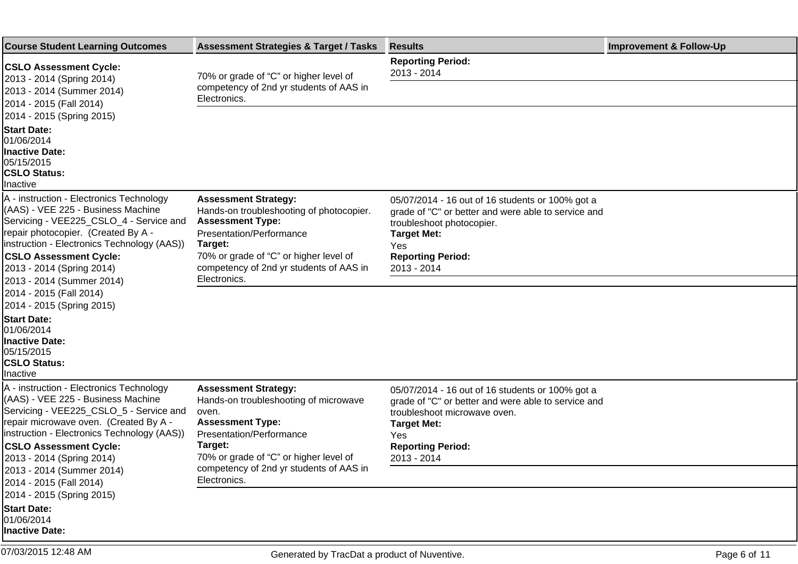| <b>Course Student Learning Outcomes</b>                                                                                                                                                                                                                                           | <b>Assessment Strategies &amp; Target / Tasks</b>                                                                                                                                                                              | <b>Results</b>                                                                                                                                                                                                      | <b>Improvement &amp; Follow-Up</b> |
|-----------------------------------------------------------------------------------------------------------------------------------------------------------------------------------------------------------------------------------------------------------------------------------|--------------------------------------------------------------------------------------------------------------------------------------------------------------------------------------------------------------------------------|---------------------------------------------------------------------------------------------------------------------------------------------------------------------------------------------------------------------|------------------------------------|
| <b>CSLO Assessment Cycle:</b><br>2013 - 2014 (Spring 2014)                                                                                                                                                                                                                        | 70% or grade of "C" or higher level of                                                                                                                                                                                         | <b>Reporting Period:</b><br>2013 - 2014                                                                                                                                                                             |                                    |
| 2013 - 2014 (Summer 2014)<br>2014 - 2015 (Fall 2014)<br>2014 - 2015 (Spring 2015)                                                                                                                                                                                                 | competency of 2nd yr students of AAS in<br>Electronics.                                                                                                                                                                        |                                                                                                                                                                                                                     |                                    |
| <b>Start Date:</b><br>01/06/2014<br>Inactive Date:<br>05/15/2015<br><b>CSLO Status:</b><br><b>Inactive</b>                                                                                                                                                                        |                                                                                                                                                                                                                                |                                                                                                                                                                                                                     |                                    |
| A - instruction - Electronics Technology<br>(AAS) - VEE 225 - Business Machine<br>Servicing - VEE225_CSLO_4 - Service and<br>repair photocopier. (Created By A -<br>instruction - Electronics Technology (AAS))<br><b>CSLO Assessment Cycle:</b><br>2013 - 2014 (Spring 2014)     | <b>Assessment Strategy:</b><br>Hands-on troubleshooting of photocopier.<br><b>Assessment Type:</b><br>Presentation/Performance<br>Target:<br>70% or grade of "C" or higher level of<br>competency of 2nd yr students of AAS in | 05/07/2014 - 16 out of 16 students or 100% got a<br>grade of "C" or better and were able to service and<br>troubleshoot photocopier.<br><b>Target Met:</b><br><b>Yes</b><br><b>Reporting Period:</b><br>2013 - 2014 |                                    |
| 2013 - 2014 (Summer 2014)<br>2014 - 2015 (Fall 2014)<br>2014 - 2015 (Spring 2015)<br><b>Start Date:</b><br>01/06/2014<br><b>Inactive Date:</b><br>05/15/2015<br><b>CSLO Status:</b><br>Inactive                                                                                   | Electronics.                                                                                                                                                                                                                   |                                                                                                                                                                                                                     |                                    |
| A - instruction - Electronics Technology<br>(AAS) - VEE 225 - Business Machine<br>Servicing - VEE225_CSLO_5 - Service and<br>repair microwave oven. (Created By A -<br>linstruction - Electronics Technology (AAS))<br><b>CSLO Assessment Cycle:</b><br>2013 - 2014 (Spring 2014) | <b>Assessment Strategy:</b><br>Hands-on troubleshooting of microwave<br>oven.<br><b>Assessment Type:</b><br>Presentation/Performance<br>Target:<br>70% or grade of "C" or higher level of                                      | 05/07/2014 - 16 out of 16 students or 100% got a<br>grade of "C" or better and were able to service and<br>troubleshoot microwave oven.<br><b>Target Met:</b><br>Yes.<br><b>Reporting Period:</b><br>2013 - 2014    |                                    |
| 2013 - 2014 (Summer 2014)<br>2014 - 2015 (Fall 2014)                                                                                                                                                                                                                              | competency of 2nd yr students of AAS in<br>Electronics.                                                                                                                                                                        |                                                                                                                                                                                                                     |                                    |
| 2014 - 2015 (Spring 2015)<br><b>Start Date:</b><br>01/06/2014<br>Inactive Date:                                                                                                                                                                                                   |                                                                                                                                                                                                                                |                                                                                                                                                                                                                     |                                    |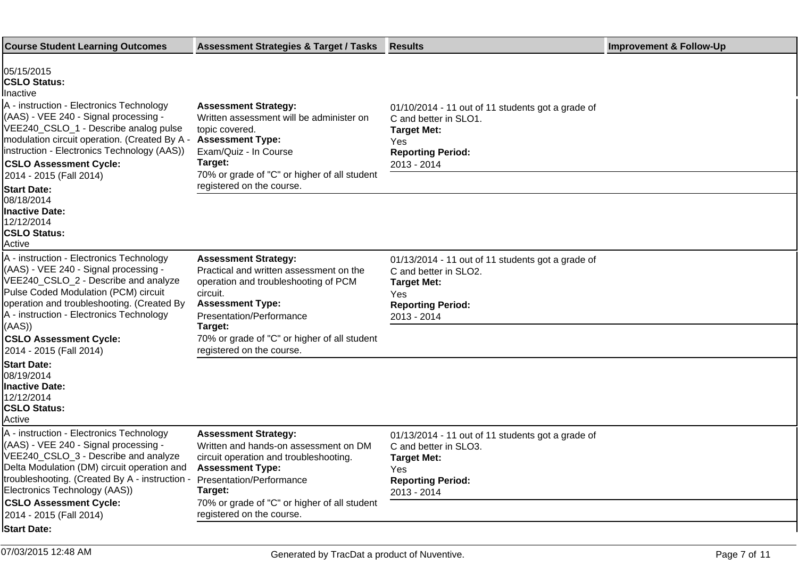| <b>Course Student Learning Outcomes</b>                                                                                                                                                                                                                                                                                                                                                                            | <b>Assessment Strategies &amp; Target / Tasks</b>                                                                                                                                                                                                             | <b>Results</b>                                                                                                                                     | <b>Improvement &amp; Follow-Up</b> |
|--------------------------------------------------------------------------------------------------------------------------------------------------------------------------------------------------------------------------------------------------------------------------------------------------------------------------------------------------------------------------------------------------------------------|---------------------------------------------------------------------------------------------------------------------------------------------------------------------------------------------------------------------------------------------------------------|----------------------------------------------------------------------------------------------------------------------------------------------------|------------------------------------|
| 05/15/2015<br><b>CSLO Status:</b><br>Inactive<br>A - instruction - Electronics Technology<br>(AAS) - VEE 240 - Signal processing -<br>VEE240 CSLO 1 - Describe analog pulse<br>modulation circuit operation. (Created By A -<br>instruction - Electronics Technology (AAS))<br><b>CSLO Assessment Cycle:</b><br>2014 - 2015 (Fall 2014)<br><b>Start Date:</b><br>08/18/2014<br><b>Inactive Date:</b><br>12/12/2014 | <b>Assessment Strategy:</b><br>Written assessment will be administer on<br>topic covered.<br><b>Assessment Type:</b><br>Exam/Quiz - In Course<br>Target:<br>70% or grade of "C" or higher of all student<br>registered on the course.                         | 01/10/2014 - 11 out of 11 students got a grade of<br>C and better in SLO1.<br><b>Target Met:</b><br>Yes<br><b>Reporting Period:</b><br>2013 - 2014 |                                    |
| <b>CSLO Status:</b><br>Active                                                                                                                                                                                                                                                                                                                                                                                      |                                                                                                                                                                                                                                                               |                                                                                                                                                    |                                    |
| A - instruction - Electronics Technology<br>(AAS) - VEE 240 - Signal processing -<br>VEE240_CSLO_2 - Describe and analyze<br>Pulse Coded Modulation (PCM) circuit<br>operation and troubleshooting. (Created By<br>A - instruction - Electronics Technology<br>(AAS)<br><b>CSLO Assessment Cycle:</b>                                                                                                              | <b>Assessment Strategy:</b><br>Practical and written assessment on the<br>operation and troubleshooting of PCM<br>circuit.<br><b>Assessment Type:</b><br>Presentation/Performance<br>Target:<br>70% or grade of "C" or higher of all student                  | 01/13/2014 - 11 out of 11 students got a grade of<br>C and better in SLO2.<br><b>Target Met:</b><br>Yes<br><b>Reporting Period:</b><br>2013 - 2014 |                                    |
| 2014 - 2015 (Fall 2014)                                                                                                                                                                                                                                                                                                                                                                                            | registered on the course.                                                                                                                                                                                                                                     |                                                                                                                                                    |                                    |
| <b>Start Date:</b><br>08/19/2014<br><b>Inactive Date:</b><br>12/12/2014<br><b>CSLO Status:</b><br>Active                                                                                                                                                                                                                                                                                                           |                                                                                                                                                                                                                                                               |                                                                                                                                                    |                                    |
| A - instruction - Electronics Technology<br>(AAS) - VEE 240 - Signal processing -<br>VEE240 CSLO_3 - Describe and analyze<br>Delta Modulation (DM) circuit operation and<br>troubleshooting. (Created By A - instruction<br>Electronics Technology (AAS))<br><b>CSLO Assessment Cycle:</b><br>2014 - 2015 (Fall 2014)                                                                                              | <b>Assessment Strategy:</b><br>Written and hands-on assessment on DM<br>circuit operation and troubleshooting.<br><b>Assessment Type:</b><br>Presentation/Performance<br>Target:<br>70% or grade of "C" or higher of all student<br>registered on the course. | 01/13/2014 - 11 out of 11 students got a grade of<br>C and better in SLO3.<br><b>Target Met:</b><br>Yes<br><b>Reporting Period:</b><br>2013 - 2014 |                                    |
| <b>Start Date:</b>                                                                                                                                                                                                                                                                                                                                                                                                 |                                                                                                                                                                                                                                                               |                                                                                                                                                    |                                    |
|                                                                                                                                                                                                                                                                                                                                                                                                                    |                                                                                                                                                                                                                                                               |                                                                                                                                                    |                                    |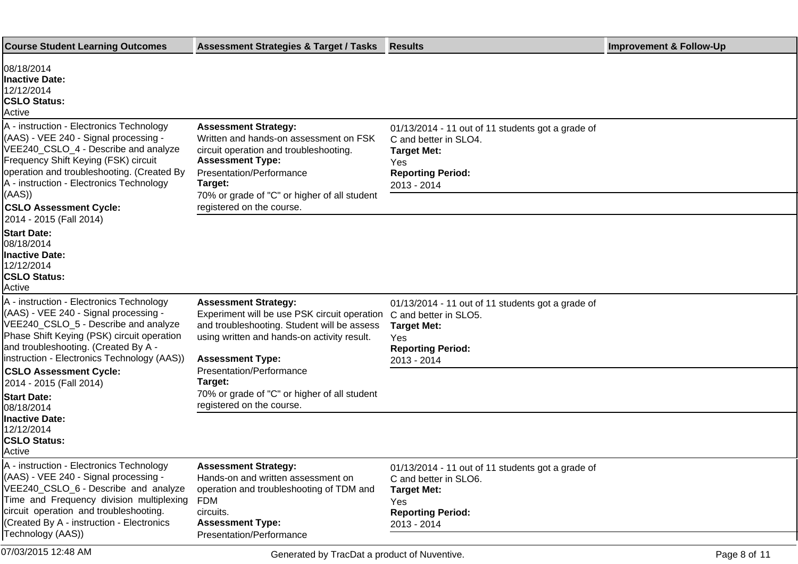| <b>Course Student Learning Outcomes</b>                                                                                                                                                                                                                                                               | <b>Assessment Strategies &amp; Target / Tasks</b>                                                                                                                                                                                                              | <b>Results</b>                                                                                                                                     | <b>Improvement &amp; Follow-Up</b> |
|-------------------------------------------------------------------------------------------------------------------------------------------------------------------------------------------------------------------------------------------------------------------------------------------------------|----------------------------------------------------------------------------------------------------------------------------------------------------------------------------------------------------------------------------------------------------------------|----------------------------------------------------------------------------------------------------------------------------------------------------|------------------------------------|
| 08/18/2014<br>Inactive Date:<br>12/12/2014<br><b>CSLO Status:</b><br>Active                                                                                                                                                                                                                           |                                                                                                                                                                                                                                                                |                                                                                                                                                    |                                    |
| A - instruction - Electronics Technology<br>(AAS) - VEE 240 - Signal processing -<br>VEE240_CSLO_4 - Describe and analyze<br>Frequency Shift Keying (FSK) circuit<br>operation and troubleshooting. (Created By<br>A - instruction - Electronics Technology<br>(AAS)<br><b>CSLO Assessment Cycle:</b> | <b>Assessment Strategy:</b><br>Written and hands-on assessment on FSK<br>circuit operation and troubleshooting.<br><b>Assessment Type:</b><br>Presentation/Performance<br>Target:<br>70% or grade of "C" or higher of all student<br>registered on the course. | 01/13/2014 - 11 out of 11 students got a grade of<br>C and better in SLO4.<br><b>Target Met:</b><br>Yes<br><b>Reporting Period:</b><br>2013 - 2014 |                                    |
| 2014 - 2015 (Fall 2014)<br><b>Start Date:</b><br>l08/18/2014<br><b>Inactive Date:</b><br>12/12/2014<br><b>CSLO Status:</b><br>Active                                                                                                                                                                  |                                                                                                                                                                                                                                                                |                                                                                                                                                    |                                    |
| A - instruction - Electronics Technology<br>(AAS) - VEE 240 - Signal processing -<br>VEE240_CSLO_5 - Describe and analyze<br>Phase Shift Keying (PSK) circuit operation<br>and troubleshooting. (Created By A -<br>instruction - Electronics Technology (AAS))<br><b>CSLO Assessment Cycle:</b>       | <b>Assessment Strategy:</b><br>Experiment will be use PSK circuit operation C and better in SLO5.<br>and troubleshooting. Student will be assess<br>using written and hands-on activity result.<br><b>Assessment Type:</b><br>Presentation/Performance         | 01/13/2014 - 11 out of 11 students got a grade of<br><b>Target Met:</b><br>Yes<br><b>Reporting Period:</b><br>2013 - 2014                          |                                    |
| 2014 - 2015 (Fall 2014)<br><b>Start Date:</b><br>08/18/2014                                                                                                                                                                                                                                           | Target:<br>70% or grade of "C" or higher of all student<br>registered on the course.                                                                                                                                                                           |                                                                                                                                                    |                                    |
| <b>Inactive Date:</b><br>12/12/2014<br><b>CSLO Status:</b><br><b>Active</b>                                                                                                                                                                                                                           |                                                                                                                                                                                                                                                                |                                                                                                                                                    |                                    |
| A - instruction - Electronics Technology<br>(AAS) - VEE 240 - Signal processing -<br>VEE240_CSLO_6 - Describe and analyze<br>Time and Frequency division multiplexing<br>circuit operation and troubleshooting.<br>(Created By A - instruction - Electronics<br>Technology (AAS))                     | <b>Assessment Strategy:</b><br>Hands-on and written assessment on<br>operation and troubleshooting of TDM and<br>FDM<br>circuits.<br><b>Assessment Type:</b><br>Presentation/Performance                                                                       | 01/13/2014 - 11 out of 11 students got a grade of<br>C and better in SLO6.<br><b>Target Met:</b><br>Yes<br><b>Reporting Period:</b><br>2013 - 2014 |                                    |
| 07/03/2015 12:48 AM                                                                                                                                                                                                                                                                                   | Generated by TracDat a product of Nuventive.                                                                                                                                                                                                                   |                                                                                                                                                    | Page 8 of 11                       |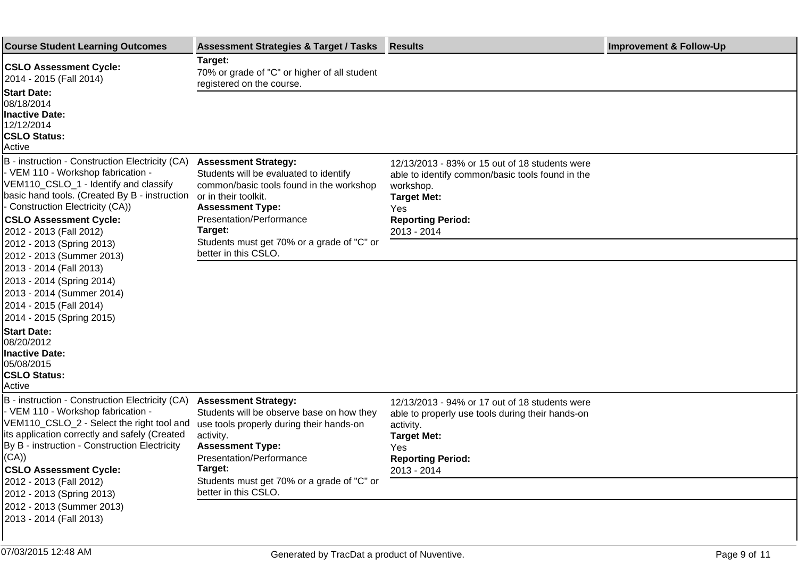| <b>Course Student Learning Outcomes</b>                                                                                                                                                                                                                                         | <b>Assessment Strategies &amp; Target / Tasks</b>                                                                                                                                                           | <b>Results</b>                                                                                                                                                                          | <b>Improvement &amp; Follow-Up</b> |
|---------------------------------------------------------------------------------------------------------------------------------------------------------------------------------------------------------------------------------------------------------------------------------|-------------------------------------------------------------------------------------------------------------------------------------------------------------------------------------------------------------|-----------------------------------------------------------------------------------------------------------------------------------------------------------------------------------------|------------------------------------|
| <b>CSLO Assessment Cycle:</b><br>2014 - 2015 (Fall 2014)<br><b>Start Date:</b>                                                                                                                                                                                                  | Target:<br>70% or grade of "C" or higher of all student<br>registered on the course.                                                                                                                        |                                                                                                                                                                                         |                                    |
| 08/18/2014<br><b>Inactive Date:</b><br>12/12/2014<br><b>CSLO Status:</b><br>Active                                                                                                                                                                                              |                                                                                                                                                                                                             |                                                                                                                                                                                         |                                    |
| B - instruction - Construction Electricity (CA)<br>- VEM 110 - Workshop fabrication -<br>VEM110_CSLO_1 - Identify and classify<br>basic hand tools. (Created By B - instruction<br>- Construction Electricity (CA))<br><b>CSLO Assessment Cycle:</b><br>2012 - 2013 (Fall 2012) | <b>Assessment Strategy:</b><br>Students will be evaluated to identify<br>common/basic tools found in the workshop<br>or in their toolkit.<br><b>Assessment Type:</b><br>Presentation/Performance<br>Target: | 12/13/2013 - 83% or 15 out of 18 students were<br>able to identify common/basic tools found in the<br>workshop.<br><b>Target Met:</b><br>Yes<br><b>Reporting Period:</b><br>2013 - 2014 |                                    |
| 2012 - 2013 (Spring 2013)<br>2012 - 2013 (Summer 2013)<br>2013 - 2014 (Fall 2013)<br>2013 - 2014 (Spring 2014)<br>2013 - 2014 (Summer 2014)<br>2014 - 2015 (Fall 2014)<br>2014 - 2015 (Spring 2015)                                                                             | Students must get 70% or a grade of "C" or<br>better in this CSLO.                                                                                                                                          |                                                                                                                                                                                         |                                    |
| <b>Start Date:</b><br>08/20/2012<br><b>Inactive Date:</b><br>05/08/2015<br><b>CSLO Status:</b><br>Active                                                                                                                                                                        |                                                                                                                                                                                                             |                                                                                                                                                                                         |                                    |
| B - instruction - Construction Electricity (CA)<br>- VEM 110 - Workshop fabrication -<br>VEM110_CSLO_2 - Select the right tool and<br>lits application correctly and safely (Created<br>By B - instruction - Construction Electricity<br>(CA))<br><b>CSLO Assessment Cycle:</b> | <b>Assessment Strategy:</b><br>Students will be observe base on how they<br>use tools properly during their hands-on<br>activity.<br><b>Assessment Type:</b><br>Presentation/Performance<br>Target:         | 12/13/2013 - 94% or 17 out of 18 students were<br>able to properly use tools during their hands-on<br>activity.<br><b>Target Met:</b><br>Yes<br><b>Reporting Period:</b><br>2013 - 2014 |                                    |
| 2012 - 2013 (Fall 2012)<br>2012 - 2013 (Spring 2013)<br>2012 - 2013 (Summer 2013)<br>2013 - 2014 (Fall 2013)                                                                                                                                                                    | Students must get 70% or a grade of "C" or<br>better in this CSLO.                                                                                                                                          |                                                                                                                                                                                         |                                    |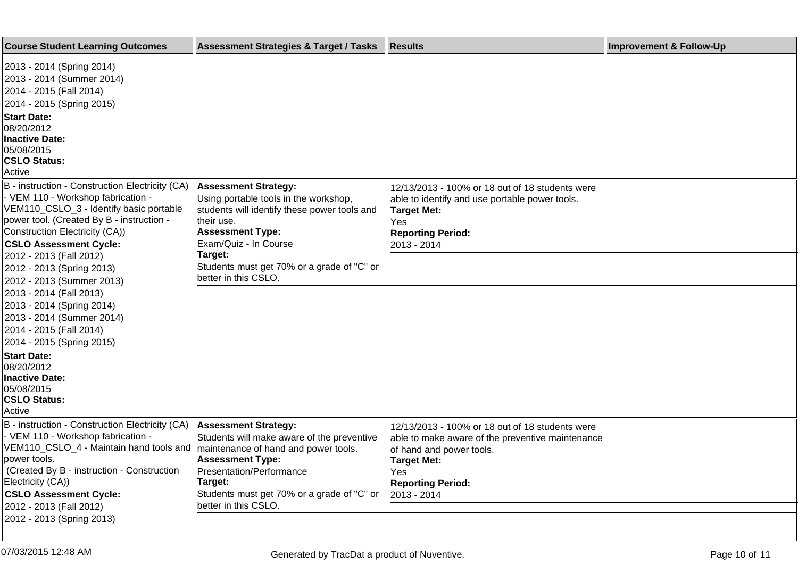| <b>Course Student Learning Outcomes</b>                                                                                                                                                                                                                  | <b>Assessment Strategies &amp; Target / Tasks</b>                                                                                                                                      | <b>Results</b>                                                                                                                                                                           | <b>Improvement &amp; Follow-Up</b> |
|----------------------------------------------------------------------------------------------------------------------------------------------------------------------------------------------------------------------------------------------------------|----------------------------------------------------------------------------------------------------------------------------------------------------------------------------------------|------------------------------------------------------------------------------------------------------------------------------------------------------------------------------------------|------------------------------------|
| 2013 - 2014 (Spring 2014)<br>2013 - 2014 (Summer 2014)<br>2014 - 2015 (Fall 2014)<br>2014 - 2015 (Spring 2015)                                                                                                                                           |                                                                                                                                                                                        |                                                                                                                                                                                          |                                    |
| <b>Start Date:</b><br>08/20/2012<br><b>Inactive Date:</b><br>05/08/2015<br><b>CSLO Status:</b><br>Active                                                                                                                                                 |                                                                                                                                                                                        |                                                                                                                                                                                          |                                    |
| B - instruction - Construction Electricity (CA)<br>- VEM 110 - Workshop fabrication -<br>VEM110_CSLO_3 - Identify basic portable<br>power tool. (Created By B - instruction -<br>Construction Electricity (CA))<br><b>CSLO Assessment Cycle:</b>         | <b>Assessment Strategy:</b><br>Using portable tools in the workshop,<br>students will identify these power tools and<br>their use.<br><b>Assessment Type:</b><br>Exam/Quiz - In Course | 12/13/2013 - 100% or 18 out of 18 students were<br>able to identify and use portable power tools.<br><b>Target Met:</b><br>Yes<br><b>Reporting Period:</b><br>2013 - 2014                |                                    |
| 2012 - 2013 (Fall 2012)<br>2012 - 2013 (Spring 2013)<br>2012 - 2013 (Summer 2013)                                                                                                                                                                        | Target:<br>Students must get 70% or a grade of "C" or<br>better in this CSLO.                                                                                                          |                                                                                                                                                                                          |                                    |
| 2013 - 2014 (Fall 2013)<br>2013 - 2014 (Spring 2014)<br>2013 - 2014 (Summer 2014)<br>2014 - 2015 (Fall 2014)<br>2014 - 2015 (Spring 2015)                                                                                                                |                                                                                                                                                                                        |                                                                                                                                                                                          |                                    |
| <b>Start Date:</b><br>08/20/2012<br><b>Inactive Date:</b><br>05/08/2015<br><b>CSLO Status:</b><br>Active                                                                                                                                                 |                                                                                                                                                                                        |                                                                                                                                                                                          |                                    |
| B - instruction - Construction Electricity (CA)<br>- VEM 110 - Workshop fabrication -<br>VEM110_CSLO_4 - Maintain hand tools and maintenance of hand and power tools.<br>power tools.<br>(Created By B - instruction - Construction<br>Electricity (CA)) | <b>Assessment Strategy:</b><br>Students will make aware of the preventive<br><b>Assessment Type:</b><br>Presentation/Performance<br>Target:                                            | 12/13/2013 - 100% or 18 out of 18 students were<br>able to make aware of the preventive maintenance<br>of hand and power tools.<br><b>Target Met:</b><br>Yes<br><b>Reporting Period:</b> |                                    |
| <b>CSLO Assessment Cycle:</b><br>2012 - 2013 (Fall 2012)<br>2012 - 2013 (Spring 2013)                                                                                                                                                                    | Students must get 70% or a grade of "C" or<br>better in this CSLO.                                                                                                                     | 2013 - 2014                                                                                                                                                                              |                                    |
|                                                                                                                                                                                                                                                          |                                                                                                                                                                                        |                                                                                                                                                                                          |                                    |